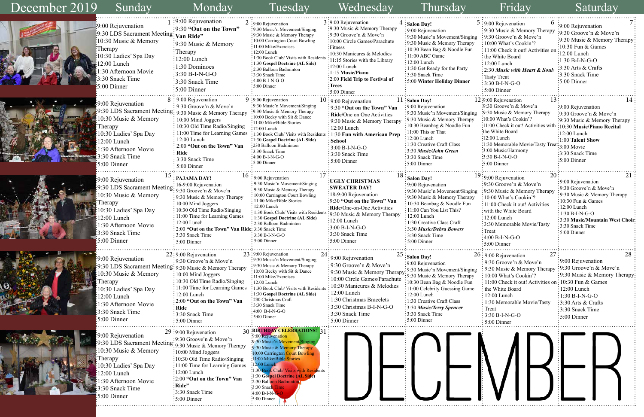|    | 6                                             |                                 |  |  |
|----|-----------------------------------------------|---------------------------------|--|--|
|    | $5:9:00$ Rejuvenation                         | :9:00 Rejuvenation              |  |  |
|    | 9:30 Music & Memory Therapy                   | 9:30 Groove'n & Move'n          |  |  |
| ıg | : 9:30 Groove'n & Move'n                      | 9:30 Music & Memory Therapy     |  |  |
|    | 10:00 What's Cookin'?                         | 10:30 Fun & Games               |  |  |
|    | 11:00 Check it out! Activities on             | $12:00$ Lunch                   |  |  |
|    | the White Board                               |                                 |  |  |
|    | $12:00$ Lunch                                 | $1:30 B-I-N-G-O$                |  |  |
|    | 2:30 Music with Heart & Soul                  | 3:30 Arts & Crafts              |  |  |
|    | <b>Tasty Treat</b>                            | 3:30 Snack Time                 |  |  |
|    | $3:30 B-I-N-G-O$                              | 5:00 Dinner                     |  |  |
|    | 5:00 Dinner                                   |                                 |  |  |
|    |                                               |                                 |  |  |
|    | 13:<br>12:9:00 Rejuvenation                   | 14                              |  |  |
|    | $\cdot$ 9:30 Groove'n & Move'n                | $\frac{1}{2}9:00$ Rejuvenation  |  |  |
| ıg | :9:30 Music & Memory Therapy                  | :9:30 Groove'n & Move'n         |  |  |
|    | :10:00 What's Cookin'?                        | 9:30 Music & Memory Therapy     |  |  |
|    | 11:00 Check it out! Activities with           | 10:30 Music/Piano Recital       |  |  |
|    | the White Board <sup>.</sup>                  | 12:00 Lunch                     |  |  |
|    | $:12:00$ Lunch                                | 1:00 Talent Show                |  |  |
|    | :1:30 Memorable Movie/Tasty Treat: 3:00 Movie |                                 |  |  |
|    | :3:00 Music/Harmony                           | :3:30 Snack Time                |  |  |
|    | $3:30 B-I-N-G-O$                              | $:5:00$ Dinner                  |  |  |
|    | :5:00 Dinner                                  |                                 |  |  |
|    |                                               |                                 |  |  |
|    | 20<br>$19:9:00$ Rejuvenation                  | 21                              |  |  |
|    | 9:30 Groove'n & Move'n                        | 9:00 Rejuvenation               |  |  |
| ıg | :9:30 Music & Memory Therapy                  | 9:30 Groove'n & Move'n          |  |  |
| y  | 10:00 What's Cookin'?                         | 9:30 Music & Memory Therapy     |  |  |
|    | 11:00 Check it out! Activities                | 10:30 Fun & Games               |  |  |
|    | with the White Board                          | $12:00$ Lunch                   |  |  |
|    | 12:00 Lunch                                   | $1:30 B-I-N-G-O$                |  |  |
|    | 3:30 Memorable Movie/Tasty                    | 3:30 Music/Mountain West Choir: |  |  |
|    | Treat                                         | 3:30 Snack Time                 |  |  |
|    | $4:00 B-I-N-G-O$                              | 5:00 Dinner                     |  |  |
|    | 5:00 Dinner                                   |                                 |  |  |
|    |                                               |                                 |  |  |
|    | 26: 9:00 Rejuvenation<br>27                   | 28                              |  |  |
|    | 9:30 Groove'n & Move'n                        | 9:00 Rejuvenation               |  |  |
|    | 9:30 Music & Memory Therapy                   | 9:30 Groove'n & Move'n          |  |  |
| ıg | 10:00 What's Cookin'?                         | 9:30 Music & Memory Therapy:    |  |  |
|    |                                               |                                 |  |  |
|    | 11:00 Check it out! Activities on:            | 10:30 Fun & Games               |  |  |
| G  | the White Board                               | 12:00 Lunch                     |  |  |
|    | 12:00 Lunch                                   | $1:30 B-I-N-G-O$                |  |  |
|    | 1:30 Memorable Movie/Tasty                    | 3:30 Arts & Crafts              |  |  |
|    | Treat                                         | 3:30 Snack Time                 |  |  |
|    | 3:30 B-I-N-G-O                                | 5:00 Dinner                     |  |  |
|    | 5:00 Dinner                                   |                                 |  |  |
|    |                                               |                                 |  |  |



| December 2019 | Sunday                                                                                                                                                                                                                       | Monday                                                                                                                                                                                                                                                                                                                                                      | Tuesday                                                                                                                                                                                                                                                                                                                                                        | Wednesday                                                                                                                                                                                                                                                                                                              | Thursday                                                                                                                                                                                                                                                                                                  | Friday                                                                                                                                                                                                                                                                                                                                   | Saturday                                                                                                                                                                                                                                     |
|---------------|------------------------------------------------------------------------------------------------------------------------------------------------------------------------------------------------------------------------------|-------------------------------------------------------------------------------------------------------------------------------------------------------------------------------------------------------------------------------------------------------------------------------------------------------------------------------------------------------------|----------------------------------------------------------------------------------------------------------------------------------------------------------------------------------------------------------------------------------------------------------------------------------------------------------------------------------------------------------------|------------------------------------------------------------------------------------------------------------------------------------------------------------------------------------------------------------------------------------------------------------------------------------------------------------------------|-----------------------------------------------------------------------------------------------------------------------------------------------------------------------------------------------------------------------------------------------------------------------------------------------------------|------------------------------------------------------------------------------------------------------------------------------------------------------------------------------------------------------------------------------------------------------------------------------------------------------------------------------------------|----------------------------------------------------------------------------------------------------------------------------------------------------------------------------------------------------------------------------------------------|
|               | :9:00 Rejuvenation<br>:9:30 LDS Sacrament Meeting: Van Ride"<br>10:30 Music & Memory<br>:Therapy<br>10:30 Ladies' Spa Day<br>2:00 Lunch<br>:30 Afternoon Movie<br>3:30 Snack Time<br>5:00 Dinner                             | :9:00 Rejuvenation<br>:9:30 "Out on the Town"<br>:9:30 Music & Memory<br>:Therapy<br>$\frac{1}{2}12:00$ Lunch<br>$:1:30$ Dominoes<br>$:3:30 B-I-N-G-O$<br>3:30 Snack Time<br>$\frac{1}{2}$ 5:00 Dinner                                                                                                                                                      | $2:9:00$ Rejuvenation<br>:9:30 Music'n Movement/Singing<br>:9:30 Music & Memory Therapy<br>:10:00 Carrington Court Bowling<br>:11:00 Mike/Exercises<br>$:12:00$ Lunch<br>:1:30 Book Club/ Visits with Residents<br>:1:30 Gospel Doctrine (AL Side)<br>:2:30 Balloon Badminton<br>:3:30 Snack Time<br>$:4:00 B-I-N-G-O$<br>$\cdot$ 5:00 Dinner                  | 3:9:00 Rejuvenation<br>:9:30 Music & Memory Therapy<br>:9:30 Groove'n & Move'n<br>:10:00 Circle Games/Parachute<br>:Fitness<br>:10:30 Manicures & Melodies<br>11:15 Stories with the Library<br>:12:00 Lunch<br>$:1:15$ Music/Piano<br>:2:00 Field Trip to Festival of<br><b>Trees</b><br>5:00 Dinner                  | $4:$ Salon Day!<br>:9:00 Rejuvenation<br>:9:30 Music'n Movement/Singing<br>:9:30 Music & Memory Therapy<br>:10:30 Bean Bag & Noodle Fun<br>:11:00 ABC Game<br>:12:00 Lunch<br>: 1:30 Get Ready for the Party<br>$\frac{1}{2}$ 3:30 Snack Time<br>:5:00 Winter Holiday Dinner                              | $5:9:00$ Rejuvenation<br>: 9:30 Music & Memory Therapy<br>:9:30 Groove'n & Move'n<br>: 10:00 What's Cookin'?<br>: 11:00 Check it out! Activities of<br>the White Board<br>$\frac{1}{2}$ 12:00 Lunch<br>2:30 Music with Heart & Soul<br>Tasty Treat<br>$: 3:30 B-I-N-G-O$<br>$:5:00$ Dinner                                               | :9:00 Rejuvenation<br>:9:30 Groove'n & Move'n<br>:9:30 Music & Memory Therapy<br>$\cdot$ 10:30 Fun & Games<br>:12:00 Lunch<br>$:1:30 B-I-N-G-O$<br>3:30 Arts & Crafts<br>3:30 Snack Time<br>$\frac{1}{2}$ :00 Dinner                         |
|               | 9:00 Rejuvenation<br>10:30 Music & Memory<br>Therapy<br>10:30 Ladies' Spa Day<br>12:00 Lunch<br>1:30 Afternoon Movie<br>3:30 Snack Time<br>:5:00 Dinner                                                                      | 8:9:00 Rejuvenation<br>: 9:30 Groove'n & Move'n<br>:9:30 LDS Sacrament Meeting: 9:30 Music & Memory Therapy<br>: 10:00 Mind Joggers<br>$\frac{1}{2}$ 10:30 Old Time Radio/Singing<br>$\frac{1}{2}$ 11:00 Time for Learning Games<br>$\frac{1}{2}$ 12:00 Lunch<br>$\frac{1}{2}$ 2:00 "Out on the Town" Van<br>: Ride<br>: 3:30 Snack Time<br>$: 5:00$ Dinner | $9:9:00$ Rejuvenation<br>:9:30 Music'n Movement/Singing<br>:9:30 Music & Memory Therapy<br>:10:00 Becky with Sit & Dance<br>$\cdot$ 11:00 Mike/Bible Stories<br>:12:00 Lunch<br>:1:30 Book Club/ Visits with Residents<br>:1:30 Gospel Doctrine (AL Side)<br>•230 Balloon Badminton<br>:3:30 Snack Time<br>$:4:00 B-I-N-G-O$<br>:5:00 Dinner                   | $10:9:00$ Rejuvenation<br>: 9:30 "Out on the Town" Van<br>Ride/One on One Activities<br>: 9:30 Music & Memory Therapy<br>$: 12:00$ Lunch<br>$: 1:30$ Fun with American Prep<br>$:$ School<br>$\frac{1}{2}3:00 B-I-N-G-O$<br>3:30 Snack Time<br>5:00 Dinner                                                             | 11 Salon Day!<br>:9:00 Rejuvenation<br>:9:30 Music'n Movement/Singing<br>:9:30 Music & Memory Therapy<br>$\pm 10:30$ Beanbag & Noodle Fun<br>:11:00 This or That<br>:12:00 Lunch<br>$:1:30$ Creative Craft Class<br>$\frac{1}{2}3.30$ Music/John Green<br>:3:30 Snack Time<br>:5:00 Dinner                | $12:9:00$ Rejuvenation<br>13 <sup>1</sup><br>:9:30 Groove'n & Move'n<br>:9:30 Music & Memory Therapy<br>:10:00 What's Cookin'?<br>:11:00 Check it out! Activities wit<br>the White Board<br>:12:00 Lunch<br>:1:30 Memorable Movie/Tasty Trea<br>:3:00 Music/Harmony<br>$-3:30 B-I-N-G-O$<br>:5:00 Dinner                                 | :9:00 Rejuvenation<br>:9:30 Groove'n & Move'n<br>:9:30 Music & Memory Therapy<br>:10:30 Music/Piano Recital<br>$:12:00$ Lunch<br>:1:00 Talent Show<br><sup>at</sup> :3:00 Movie<br>$\frac{1}{2}$ :30 Snack Time<br>$\frac{1}{2}$ 5:00 Dinner |
|               | 9:00 Rejuvenation<br>$\frac{1}{2}$ 9:30 LDS Sacrament Meeting: 9:30 Groove'n & Move'n<br>10:30 Music & Memory<br>:Therapy<br>10:30 Ladies' Spa Day<br>12:00 Lunch<br>1:30 Afternoon Movie<br>3:30 Snack Time<br>:5:00 Dinner | $15$ : PAJAMA DAY!<br>: 9:30 Music & Memory Therapy<br>$\frac{1}{2}$ 10:00 Mind Joggers<br>: 10:30 Old Time Radio/Singing<br>: 11:00 Time for Learning Games<br>$: 12:00$ Lunch<br>: 2:00 "Out on the Town" Van Ride: 3:30 Snack Time<br>∶3:30 Snack Time<br>$: 5:00$ Dinner                                                                                | $\cdot$ 9:00 Rejuvenation<br>: 9:30 Music'n Movement/Singing<br>$\cdot$ 9:30 Music & Memory Therapy<br>: 10:00 Carrington Court Bowling<br>11:00 Mike/Bible Stories<br>: 12:00 Lunch<br>: 1:30 Book Club/ Visits with Residents<br>: 1:30 Gospel Doctrine (AL Side)<br>$\div$ 2:30 Balloon Badminton<br>$: 3:30 B-I-N-G-O$<br>: 5:00 Dinner                    | <b>UGLY CHRISTMAS</b><br>:SWEATER DAY!<br>:18-9:00 Rejuvenation<br>:9:30 "Out on the Town" Van<br>:Ride/One-on-One Activities<br>:9:30 Music & Memory Therapy<br>$\frac{1}{2}12:00$ Lunch<br>$\frac{1}{2}3:00 B-I-N-G-O$<br>$\frac{1}{2}$ :30 Snack Time<br>$:5:00$ Dinner                                             | Salon Day!<br>: 9:00 Rejuvenation<br>:9:30 Music'n Movement/Singing<br>:9:30 Music & Memory Therapy<br>$\frac{1}{2}10:30$ Beanbag & Noodle Fun<br>: 11:00 Can You List This?<br>:12:00 Lunch<br>: 1:30 Creative Class Craft<br>$\frac{1}{2}$ 3:30 Music/Debra Bowers<br>: 3:30 Snack Time<br>:5:00 Dinner | 20:<br>$19:9:00$ Rejuvenation<br>$\frac{1}{2}$ 9:30 Groove'n & Move'n<br>:9:30 Music & Memory Therapy<br>:10:00 What's Cookin'?<br>:11:00 Check it out! Activities<br>: with the White Board<br>$: 12:00$ Lunch<br>:3:30 Memorable Movie/Tasty<br>$:$ Treat<br>$\frac{1}{2}4:00 B-I-N-G-O$<br>$:5:00$ Dinner                             | :9:00 Rejuvenation<br>:9:30 Groove'n & Move'n<br>: 9:30 Music & Memory Therapy<br>$\frac{1}{2}10:30$ Fun & Games<br>:12:00 Lunch<br>:1:30 B-I-N-G-O<br>:3:30 Music/Mountain West Choi<br>:3:30 Snack Time<br>:5:00 Dinner                    |
|               | :9:00 Rejuvenation<br>10:30 Music & Memory<br>Therapy<br>10:30 Ladies' Spa Day<br>12:00 Lunch<br>1:30 Afternoon Movie<br>3:30 Snack Time<br>$\frac{1}{2}$ 5:00 Dinner                                                        | 22:9:00 Rejuvenation<br>: 9:30 Groove'n & Move'n<br>:9:30 LDS Sacrament Meeting: 9:30 Music & Memory Therapy<br>$\frac{1}{2}10:00$ Mind Joggers<br>$\frac{1}{2}$ 10:30 Old Time Radio/Singing<br>: 11:00 Time for Learning Games<br>: 12:00 Lunch<br>: 2:00 "Out on the Town" Van<br>: Ride<br>:3:30 Snack Time<br>$\frac{1}{2}$ 5:00 Dinner                | 23:9:00 Rejuvenation<br>:9:30 Music'n Movement/Singing<br>:9:30 Music & Memory Therapy<br>: 10:00 Becky with Sit & Dance<br>$\cdot$ 11:00 Mike/Exercises<br>$:12:00$ Lunch<br>: 1:30 Book Club/ Visits with Resident<br>: 1:30 Gospel Doctrine (AL Side)<br>:230 Christmas Craft<br>:3:30 Snack Time<br>$-4:00$ B-I-N-G-O<br>:5:00 Dinner                      | : 9:00 Rejuvenation<br>: 9:30 Groove'n & Move'n<br>$\frac{1}{2}$ .9.30 Music & Memory Therapy: 9.30 Music & Memory Therapy<br>10:00 Circle Games/Parachute<br>10:30 Manicures & Melodies<br>$:12:00$ Lunch<br>: 1:30 Christmas Bracelets<br>:3:30 Christmas B-I-N-G-O<br>:3:30 Snack Time<br>$\frac{1}{2}$ 5:00 Dinner | $25$ : Salon Day!<br>$\cdot$ 9:00 Rejuvenation<br>:9:30 Music'n Movement/Singing<br>:10:30 Bean Bag & Noodle Fun<br>:11:00 Celebrity Guessing Game<br>$:12:00$ Lunch<br>:1:30 Creative Craft Class<br>:3:30 Music/Terry Spencer<br>:3:30 Snack Time<br>$\frac{1}{2}$ 5:00 Dinner                          | 27<br>$26:9:00$ Rejuvenation<br>: 9:30 Groove'n & Move'n<br>: 9:30 Music & Memory Therap<br>: 10:00 What's Cookin'?<br>: 11:00 Check it out! Activities on: 10:30 Fun & Games<br>: the White Board<br>$\frac{1}{2}$ 12:00 Lunch<br>$\frac{1}{2}$ 1:30 Memorable Movie/Tasty<br>$\cdot$ Treat<br>$\div$ 3:30 B-I-N-G-O<br>$: 5:00$ Dinner | 28<br>: 9:00 Rejuvenation<br>:9:30 Groove'n & Move'n<br>:9:30 Music & Memory Therapy<br>$: 12:00$ Lunch<br>$:1:30 B-I-N-G-O$<br>$: 3:30$ Arts & Crafts<br>:3:30 Snack Time<br>$:5:00$ Dinner                                                 |
|               | 9:00 Rejuvenation<br>10:30 Music & Memory<br>Therapy<br>10:30 Ladies' Spa Day<br>12:00 Lunch<br>:30 Afternoon Movie<br>3:30 Snack Time<br>5:00 Dinner                                                                        | $29:9:00$ Rejuvenation<br>$\frac{1}{2}$ 9:30 Groove'n & Move'n<br>9:30 LDS Sacrament Meeting: 9:30 Music & Memory Therapy<br>$\frac{1}{2}10:00$ Mind Joggers<br>:10:30 Old Time Radio/Singing<br>:11:00 Time for Learning Games<br>:12:00 Lunch<br>:2:00 "Out on the Town" Van<br>:Ride"<br>:3:30 Snack Time<br>$\frac{1}{2}$ 5:00 Dinner                   | 30 BIRTHDAY CELEBRATIONS! 31<br>9:00 Rejuvenation<br>:9:30 Music'n Movement/Singing<br>9:30 Music & Memory Therapy<br>:10:00 Carrington Court Bowling<br>11:00 Mike/Bible Stories<br>:12:00 Lunch<br>:1:30 Book Club/ Visits with Residents<br>:1:30 Gospel Doctrine (AL Side)<br>:2:30 Balloon Badminton<br>3:30 Snack Time<br>$4:00 B-I-N-G$<br>:5:00 Dinner |                                                                                                                                                                                                                                                                                                                        |                                                                                                                                                                                                                                                                                                           |                                                                                                                                                                                                                                                                                                                                          |                                                                                                                                                                                                                                              |

A